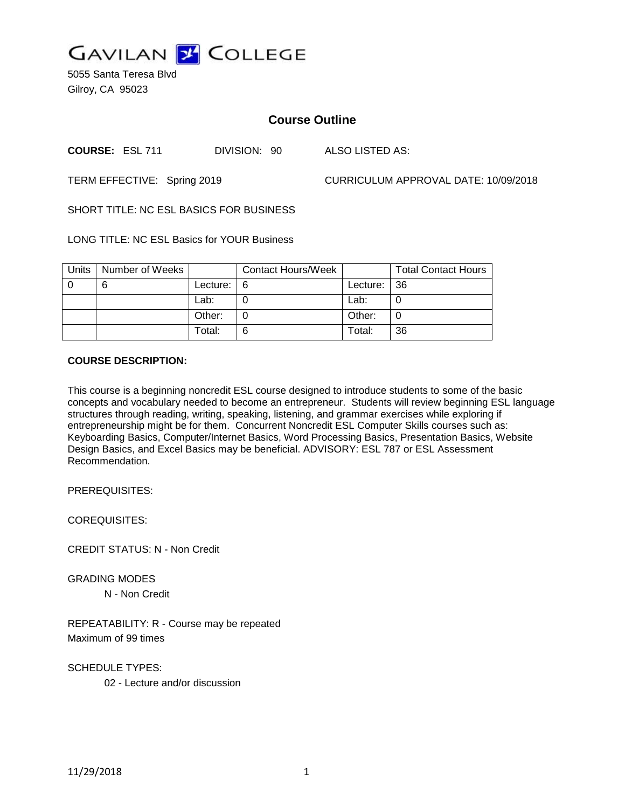

5055 Santa Teresa Blvd Gilroy, CA 95023

# **Course Outline**

**COURSE:** ESL 711 DIVISION: 90 ALSO LISTED AS:

TERM EFFECTIVE: Spring 2019 CURRICULUM APPROVAL DATE: 10/09/2018

SHORT TITLE: NC ESL BASICS FOR BUSINESS

LONG TITLE: NC ESL Basics for YOUR Business

| Units | Number of Weeks |          | <b>Contact Hours/Week</b> |          | <b>Total Contact Hours</b> |
|-------|-----------------|----------|---------------------------|----------|----------------------------|
|       | 6               | Lecture: | <u> 16</u>                | Lecture: | -36                        |
|       |                 | Lab:     |                           | Lab:     |                            |
|       |                 | Other:   |                           | Other:   |                            |
|       |                 | Total:   | 6                         | Total:   | 36                         |

# **COURSE DESCRIPTION:**

This course is a beginning noncredit ESL course designed to introduce students to some of the basic concepts and vocabulary needed to become an entrepreneur. Students will review beginning ESL language structures through reading, writing, speaking, listening, and grammar exercises while exploring if entrepreneurship might be for them. Concurrent Noncredit ESL Computer Skills courses such as: Keyboarding Basics, Computer/Internet Basics, Word Processing Basics, Presentation Basics, Website Design Basics, and Excel Basics may be beneficial. ADVISORY: ESL 787 or ESL Assessment Recommendation.

PREREQUISITES:

COREQUISITES:

CREDIT STATUS: N - Non Credit

GRADING MODES

N - Non Credit

REPEATABILITY: R - Course may be repeated Maximum of 99 times

SCHEDULE TYPES: 02 - Lecture and/or discussion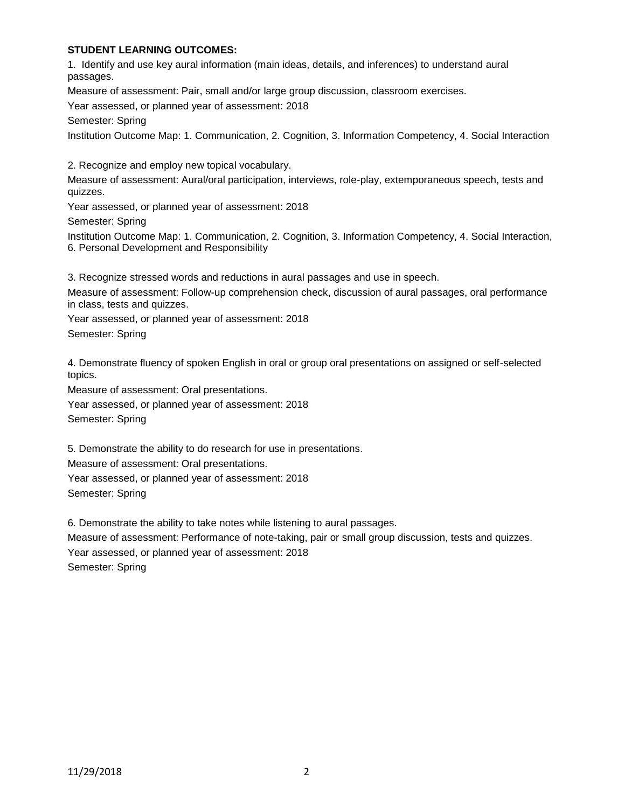## **STUDENT LEARNING OUTCOMES:**

1. Identify and use key aural information (main ideas, details, and inferences) to understand aural passages.

Measure of assessment: Pair, small and/or large group discussion, classroom exercises.

Year assessed, or planned year of assessment: 2018

Semester: Spring

Institution Outcome Map: 1. Communication, 2. Cognition, 3. Information Competency, 4. Social Interaction

2. Recognize and employ new topical vocabulary.

Measure of assessment: Aural/oral participation, interviews, role-play, extemporaneous speech, tests and quizzes.

Year assessed, or planned year of assessment: 2018

Semester: Spring

Institution Outcome Map: 1. Communication, 2. Cognition, 3. Information Competency, 4. Social Interaction, 6. Personal Development and Responsibility

3. Recognize stressed words and reductions in aural passages and use in speech.

Measure of assessment: Follow-up comprehension check, discussion of aural passages, oral performance in class, tests and quizzes.

Year assessed, or planned year of assessment: 2018

Semester: Spring

4. Demonstrate fluency of spoken English in oral or group oral presentations on assigned or self-selected topics.

Measure of assessment: Oral presentations.

Year assessed, or planned year of assessment: 2018 Semester: Spring

5. Demonstrate the ability to do research for use in presentations.

Measure of assessment: Oral presentations.

Year assessed, or planned year of assessment: 2018

Semester: Spring

6. Demonstrate the ability to take notes while listening to aural passages.

Measure of assessment: Performance of note-taking, pair or small group discussion, tests and quizzes. Year assessed, or planned year of assessment: 2018 Semester: Spring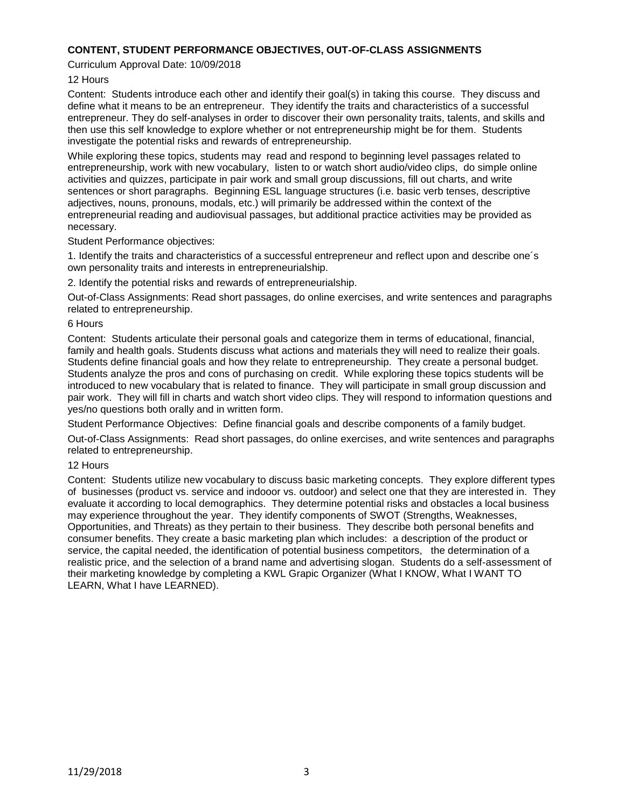### **CONTENT, STUDENT PERFORMANCE OBJECTIVES, OUT-OF-CLASS ASSIGNMENTS**

#### Curriculum Approval Date: 10/09/2018

#### 12 Hours

Content: Students introduce each other and identify their goal(s) in taking this course. They discuss and define what it means to be an entrepreneur. They identify the traits and characteristics of a successful entrepreneur. They do self-analyses in order to discover their own personality traits, talents, and skills and then use this self knowledge to explore whether or not entrepreneurship might be for them. Students investigate the potential risks and rewards of entrepreneurship.

While exploring these topics, students may read and respond to beginning level passages related to entrepreneurship, work with new vocabulary, listen to or watch short audio/video clips, do simple online activities and quizzes, participate in pair work and small group discussions, fill out charts, and write sentences or short paragraphs. Beginning ESL language structures (i.e. basic verb tenses, descriptive adjectives, nouns, pronouns, modals, etc.) will primarily be addressed within the context of the entrepreneurial reading and audiovisual passages, but additional practice activities may be provided as necessary.

Student Performance objectives:

1. Identify the traits and characteristics of a successful entrepreneur and reflect upon and describe one´s own personality traits and interests in entrepreneurialship.

2. Identify the potential risks and rewards of entrepreneurialship.

Out-of-Class Assignments: Read short passages, do online exercises, and write sentences and paragraphs related to entrepreneurship.

### 6 Hours

Content: Students articulate their personal goals and categorize them in terms of educational, financial, family and health goals. Students discuss what actions and materials they will need to realize their goals. Students define financial goals and how they relate to entrepreneurship. They create a personal budget. Students analyze the pros and cons of purchasing on credit. While exploring these topics students will be introduced to new vocabulary that is related to finance. They will participate in small group discussion and pair work. They will fill in charts and watch short video clips. They will respond to information questions and yes/no questions both orally and in written form.

Student Performance Objectives: Define financial goals and describe components of a family budget.

Out-of-Class Assignments: Read short passages, do online exercises, and write sentences and paragraphs related to entrepreneurship.

#### 12 Hours

Content: Students utilize new vocabulary to discuss basic marketing concepts. They explore different types of businesses (product vs. service and indooor vs. outdoor) and select one that they are interested in. They evaluate it according to local demographics. They determine potential risks and obstacles a local business may experience throughout the year. They identify components of SWOT (Strengths, Weaknesses, Opportunities, and Threats) as they pertain to their business. They describe both personal benefits and consumer benefits. They create a basic marketing plan which includes: a description of the product or service, the capital needed, the identification of potential business competitors, the determination of a realistic price, and the selection of a brand name and advertising slogan. Students do a self-assessment of their marketing knowledge by completing a KWL Grapic Organizer (What I KNOW, What I WANT TO LEARN, What I have LEARNED).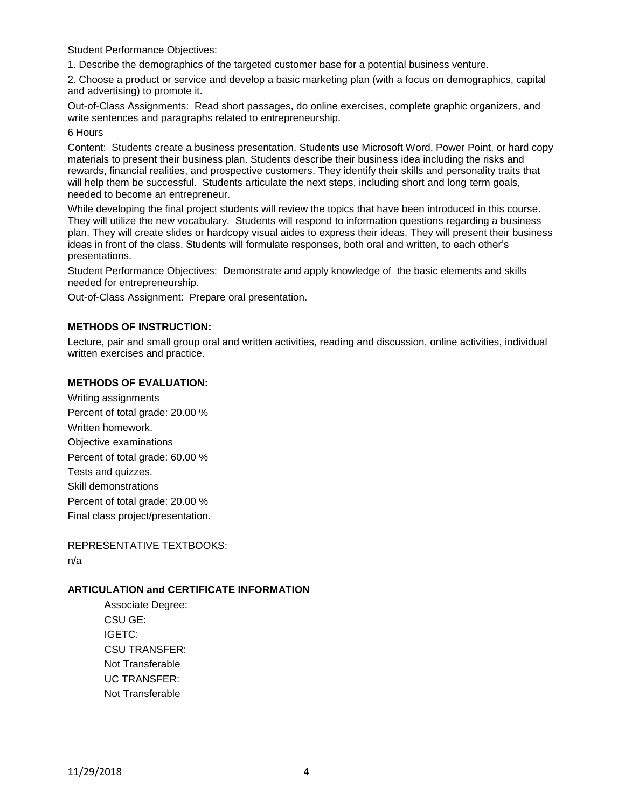Student Performance Objectives:

1. Describe the demographics of the targeted customer base for a potential business venture.

2. Choose a product or service and develop a basic marketing plan (with a focus on demographics, capital and advertising) to promote it.

Out-of-Class Assignments: Read short passages, do online exercises, complete graphic organizers, and write sentences and paragraphs related to entrepreneurship.

#### 6 Hours

Content: Students create a business presentation. Students use Microsoft Word, Power Point, or hard copy materials to present their business plan. Students describe their business idea including the risks and rewards, financial realities, and prospective customers. They identify their skills and personality traits that will help them be successful. Students articulate the next steps, including short and long term goals, needed to become an entrepreneur.

While developing the final project students will review the topics that have been introduced in this course. They will utilize the new vocabulary. Students will respond to information questions regarding a business plan. They will create slides or hardcopy visual aides to express their ideas. They will present their business ideas in front of the class. Students will formulate responses, both oral and written, to each other's presentations.

Student Performance Objectives: Demonstrate and apply knowledge of the basic elements and skills needed for entrepreneurship.

Out-of-Class Assignment: Prepare oral presentation.

## **METHODS OF INSTRUCTION:**

Lecture, pair and small group oral and written activities, reading and discussion, online activities, individual written exercises and practice.

## **METHODS OF EVALUATION:**

Writing assignments Percent of total grade: 20.00 % Written homework. Objective examinations Percent of total grade: 60.00 % Tests and quizzes. Skill demonstrations Percent of total grade: 20.00 % Final class project/presentation.

REPRESENTATIVE TEXTBOOKS: n/a

## **ARTICULATION and CERTIFICATE INFORMATION**

Associate Degree: CSU GE: IGETC: CSU TRANSFER: Not Transferable UC TRANSFER: Not Transferable